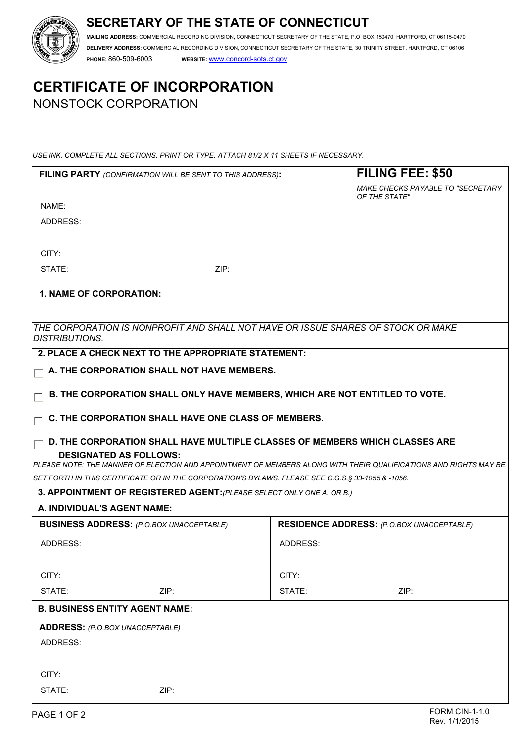## **SECRETARY OF THE STATE OF CONNECTICUT**



**MAILING ADDRESS:** COMMERCIAL RECORDING DIVISION, CONNECTICUT SECRETARY OF THE STATE, P.O. BOX 150470, HARTFORD, CT 06115-0470 **DELIVERY ADDRESS:** COMMERCIAL RECORDING DIVISION, CONNECTICUT SECRETARY OF THE STATE, 30 TRINITY STREET, HARTFORD, CT 06106 **PHONE:** 860-509-6003 **WEBSITE:** www.concord-sots.ct.gov

# **CERTIFICATE OF INCORPORATION**  NONSTOCK CORPORATION

*USE INK. COMPLETE ALL SECTIONS. PRINT OR TYPE. ATTACH 81/2 X 11 SHEETS IF NECESSARY.*

|                                                                             | FILING PARTY (CONFIRMATION WILL BE SENT TO THIS ADDRESS):                                         |                                                  | <b>FILING FEE: \$50</b>                                                                                          |  |  |  |
|-----------------------------------------------------------------------------|---------------------------------------------------------------------------------------------------|--------------------------------------------------|------------------------------------------------------------------------------------------------------------------|--|--|--|
|                                                                             |                                                                                                   |                                                  | MAKE CHECKS PAYABLE TO "SECRETARY<br>OF THE STATE"                                                               |  |  |  |
| NAME:                                                                       |                                                                                                   |                                                  |                                                                                                                  |  |  |  |
| ADDRESS:                                                                    |                                                                                                   |                                                  |                                                                                                                  |  |  |  |
|                                                                             |                                                                                                   |                                                  |                                                                                                                  |  |  |  |
| CITY:                                                                       |                                                                                                   |                                                  |                                                                                                                  |  |  |  |
| STATE:                                                                      | ZIP:                                                                                              |                                                  |                                                                                                                  |  |  |  |
| <b>1. NAME OF CORPORATION:</b>                                              |                                                                                                   |                                                  |                                                                                                                  |  |  |  |
|                                                                             |                                                                                                   |                                                  |                                                                                                                  |  |  |  |
| <i><b>IDISTRIBUTIONS.</b></i>                                               | THE CORPORATION IS NONPROFIT AND SHALL NOT HAVE OR ISSUE SHARES OF STOCK OR MAKE                  |                                                  |                                                                                                                  |  |  |  |
|                                                                             | 2. PLACE A CHECK NEXT TO THE APPROPRIATE STATEMENT:                                               |                                                  |                                                                                                                  |  |  |  |
| A. THE CORPORATION SHALL NOT HAVE MEMBERS.                                  |                                                                                                   |                                                  |                                                                                                                  |  |  |  |
| B. THE CORPORATION SHALL ONLY HAVE MEMBERS, WHICH ARE NOT ENTITLED TO VOTE. |                                                                                                   |                                                  |                                                                                                                  |  |  |  |
| C. THE CORPORATION SHALL HAVE ONE CLASS OF MEMBERS.                         |                                                                                                   |                                                  |                                                                                                                  |  |  |  |
|                                                                             |                                                                                                   |                                                  |                                                                                                                  |  |  |  |
|                                                                             | D. THE CORPORATION SHALL HAVE MULTIPLE CLASSES OF MEMBERS WHICH CLASSES ARE                       |                                                  |                                                                                                                  |  |  |  |
|                                                                             | <b>DESIGNATED AS FOLLOWS:</b>                                                                     |                                                  | PLEASE NOTE: THE MANNER OF ELECTION AND APPOINTMENT OF MEMBERS ALONG WITH THEIR QUALIFICATIONS AND RIGHTS MAY BE |  |  |  |
|                                                                             | SET FORTH IN THIS CERTIFICATE OR IN THE CORPORATION'S BYLAWS. PLEASE SEE C.G.S.§ 33-1055 & -1056. |                                                  |                                                                                                                  |  |  |  |
|                                                                             | 3. APPOINTMENT OF REGISTERED AGENT: (PLEASE SELECT ONLY ONE A. OR B.)                             |                                                  |                                                                                                                  |  |  |  |
| A. INDIVIDUAL'S AGENT NAME:                                                 |                                                                                                   |                                                  |                                                                                                                  |  |  |  |
| <b>BUSINESS ADDRESS:</b> (P.O.BOX UNACCEPTABLE)                             |                                                                                                   | <b>RESIDENCE ADDRESS:</b> (P.O.BOX UNACCEPTABLE) |                                                                                                                  |  |  |  |
| ADDRESS:                                                                    |                                                                                                   | ADDRESS:                                         |                                                                                                                  |  |  |  |
|                                                                             |                                                                                                   |                                                  |                                                                                                                  |  |  |  |
| CITY:                                                                       |                                                                                                   | CITY:                                            |                                                                                                                  |  |  |  |
| STATE:                                                                      | ZIP:                                                                                              | STATE:                                           | ZIP:                                                                                                             |  |  |  |
|                                                                             | <b>B. BUSINESS ENTITY AGENT NAME:</b>                                                             |                                                  |                                                                                                                  |  |  |  |
| <b>ADDRESS:</b> (P.O.BOX UNACCEPTABLE)                                      |                                                                                                   |                                                  |                                                                                                                  |  |  |  |
| ADDRESS:                                                                    |                                                                                                   |                                                  |                                                                                                                  |  |  |  |
|                                                                             |                                                                                                   |                                                  |                                                                                                                  |  |  |  |
| CITY:                                                                       |                                                                                                   |                                                  |                                                                                                                  |  |  |  |
| STATE:                                                                      | ZIP:                                                                                              |                                                  |                                                                                                                  |  |  |  |
| PAGE 1 OF 2                                                                 |                                                                                                   |                                                  | <b>FORM CIN-1-1.0</b>                                                                                            |  |  |  |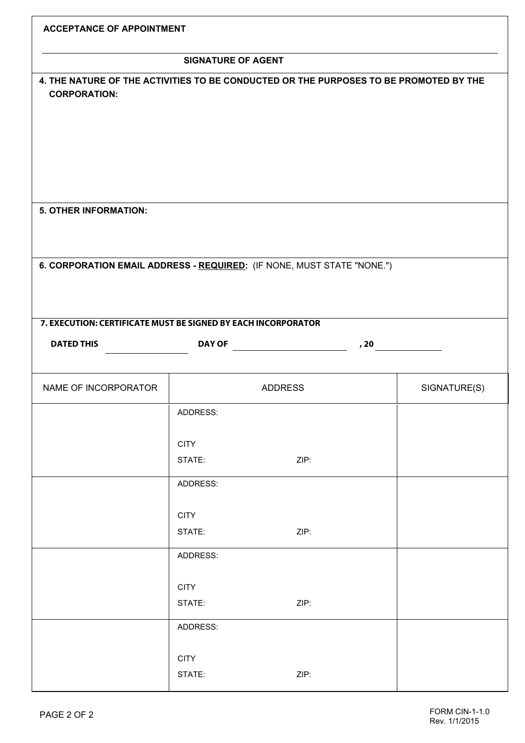| <b>ACCEPTANCE OF APPOINTMENT</b>                                                                                                        |             |                |  |              |  |  |  |
|-----------------------------------------------------------------------------------------------------------------------------------------|-------------|----------------|--|--------------|--|--|--|
| <b>SIGNATURE OF AGENT</b>                                                                                                               |             |                |  |              |  |  |  |
| 4. THE NATURE OF THE ACTIVITIES TO BE CONDUCTED OR THE PURPOSES TO BE PROMOTED BY THE<br><b>CORPORATION:</b>                            |             |                |  |              |  |  |  |
| <b>5. OTHER INFORMATION:</b>                                                                                                            |             |                |  |              |  |  |  |
|                                                                                                                                         |             |                |  |              |  |  |  |
| 6. CORPORATION EMAIL ADDRESS - REQUIRED: (IF NONE, MUST STATE "NONE.")<br>7. EXECUTION: CERTIFICATE MUST BE SIGNED BY EACH INCORPORATOR |             |                |  |              |  |  |  |
| <b>DATED THIS</b>                                                                                                                       |             | DAY OF<br>, 20 |  |              |  |  |  |
|                                                                                                                                         |             |                |  |              |  |  |  |
| NAME OF INCORPORATOR                                                                                                                    |             | <b>ADDRESS</b> |  | SIGNATURE(S) |  |  |  |
|                                                                                                                                         | ADDRESS:    |                |  |              |  |  |  |
|                                                                                                                                         | <b>CITY</b> |                |  |              |  |  |  |
|                                                                                                                                         | STATE:      | ZIP:           |  |              |  |  |  |
|                                                                                                                                         | ADDRESS:    |                |  |              |  |  |  |
|                                                                                                                                         | <b>CITY</b> |                |  |              |  |  |  |
|                                                                                                                                         | STATE:      | ZIP:           |  |              |  |  |  |
|                                                                                                                                         | ADDRESS:    |                |  |              |  |  |  |
|                                                                                                                                         | <b>CITY</b> |                |  |              |  |  |  |
|                                                                                                                                         | STATE:      | ZIP:           |  |              |  |  |  |
|                                                                                                                                         | ADDRESS:    |                |  |              |  |  |  |
|                                                                                                                                         | <b>CITY</b> |                |  |              |  |  |  |
|                                                                                                                                         | STATE:      | ZIP:           |  |              |  |  |  |